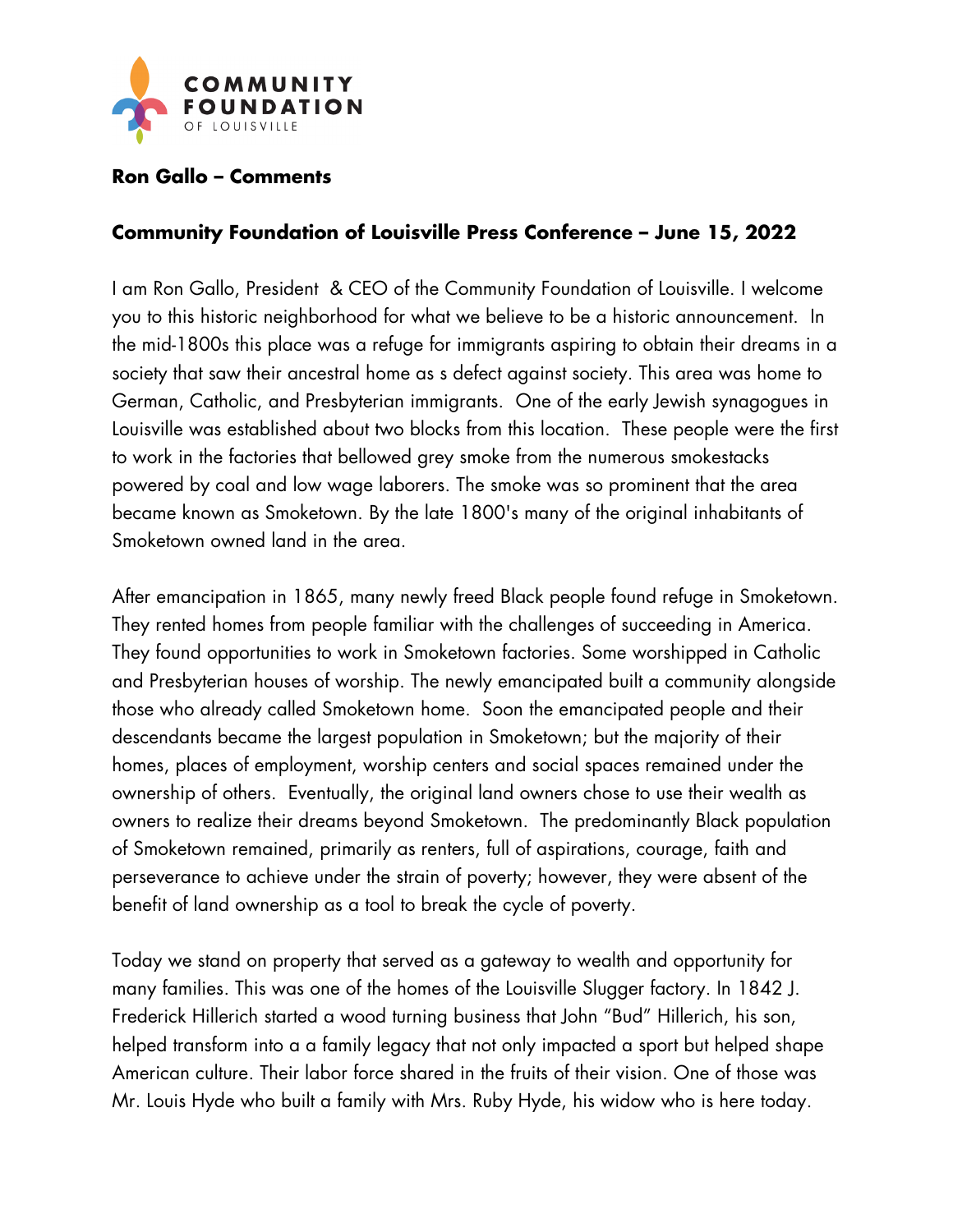

## **Ron Gallo – Comments**

## **Community Foundation of Louisville Press Conference – June 15, 2022**

I am Ron Gallo, President & CEO of the Community Foundation of Louisville. I welcome you to this historic neighborhood for what we believe to be a historic announcement. In the mid-1800s this place was a refuge for immigrants aspiring to obtain their dreams in a society that saw their ancestral home as s defect against society. This area was home to German, Catholic, and Presbyterian immigrants. One of the early Jewish synagogues in Louisville was established about two blocks from this location. These people were the first to work in the factories that bellowed grey smoke from the numerous smokestacks powered by coal and low wage laborers. The smoke was so prominent that the area became known as Smoketown. By the late 1800's many of the original inhabitants of Smoketown owned land in the area.

After emancipation in 1865, many newly freed Black people found refuge in Smoketown. They rented homes from people familiar with the challenges of succeeding in America. They found opportunities to work in Smoketown factories. Some worshipped in Catholic and Presbyterian houses of worship. The newly emancipated built a community alongside those who already called Smoketown home. Soon the emancipated people and their descendants became the largest population in Smoketown; but the majority of their homes, places of employment, worship centers and social spaces remained under the ownership of others. Eventually, the original land owners chose to use their wealth as owners to realize their dreams beyond Smoketown. The predominantly Black population of Smoketown remained, primarily as renters, full of aspirations, courage, faith and perseverance to achieve under the strain of poverty; however, they were absent of the benefit of land ownership as a tool to break the cycle of poverty.

Today we stand on property that served as a gateway to wealth and opportunity for many families. This was one of the homes of the Louisville Slugger factory. In 1842 J. Frederick Hillerich started a wood turning business that John "Bud" Hillerich, his son, helped transform into a a family legacy that not only impacted a sport but helped shape American culture. Their labor force shared in the fruits of their vision. One of those was Mr. Louis Hyde who built a family with Mrs. Ruby Hyde, his widow who is here today.